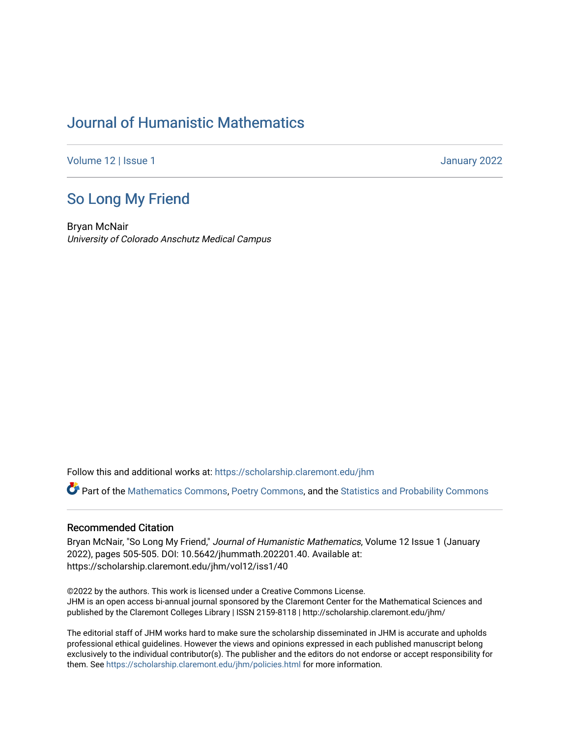## [Journal of Humanistic Mathematics](https://scholarship.claremont.edu/jhm)

[Volume 12](https://scholarship.claremont.edu/jhm/vol12) | Issue 1 January 2022

## [So Long My Friend](https://scholarship.claremont.edu/jhm/vol12/iss1/40)

Bryan McNair University of Colorado Anschutz Medical Campus

Follow this and additional works at: [https://scholarship.claremont.edu/jhm](https://scholarship.claremont.edu/jhm?utm_source=scholarship.claremont.edu%2Fjhm%2Fvol12%2Fiss1%2F40&utm_medium=PDF&utm_campaign=PDFCoverPages)

Part of the [Mathematics Commons](http://network.bepress.com/hgg/discipline/174?utm_source=scholarship.claremont.edu%2Fjhm%2Fvol12%2Fiss1%2F40&utm_medium=PDF&utm_campaign=PDFCoverPages), [Poetry Commons](http://network.bepress.com/hgg/discipline/1153?utm_source=scholarship.claremont.edu%2Fjhm%2Fvol12%2Fiss1%2F40&utm_medium=PDF&utm_campaign=PDFCoverPages), and the [Statistics and Probability Commons](http://network.bepress.com/hgg/discipline/208?utm_source=scholarship.claremont.edu%2Fjhm%2Fvol12%2Fiss1%2F40&utm_medium=PDF&utm_campaign=PDFCoverPages)

## Recommended Citation

Bryan McNair, "So Long My Friend," Journal of Humanistic Mathematics, Volume 12 Issue 1 (January 2022), pages 505-505. DOI: 10.5642/jhummath.202201.40. Available at: https://scholarship.claremont.edu/jhm/vol12/iss1/40

©2022 by the authors. This work is licensed under a Creative Commons License. JHM is an open access bi-annual journal sponsored by the Claremont Center for the Mathematical Sciences and published by the Claremont Colleges Library | ISSN 2159-8118 | http://scholarship.claremont.edu/jhm/

The editorial staff of JHM works hard to make sure the scholarship disseminated in JHM is accurate and upholds professional ethical guidelines. However the views and opinions expressed in each published manuscript belong exclusively to the individual contributor(s). The publisher and the editors do not endorse or accept responsibility for them. See<https://scholarship.claremont.edu/jhm/policies.html> for more information.